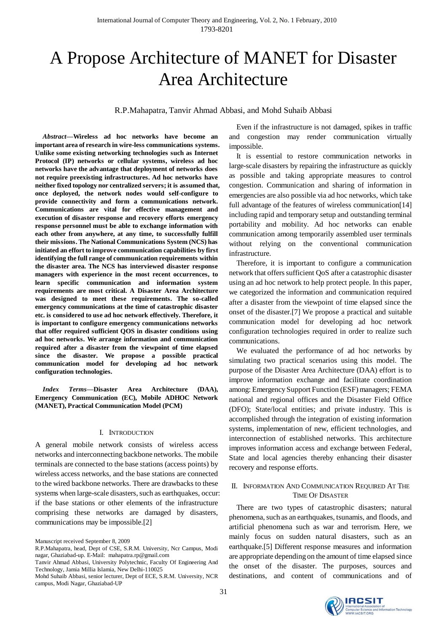# A Propose Architecture of MANET for Disaster Area Architecture

R.P.Mahapatra, Tanvir Ahmad Abbasi, and Mohd Suhaib Abbasi

*Abstract***—Wireless ad hoc networks have become an important area of research in wire-less communications systems. Unlike some existing networking technologies such as Internet Protocol (IP) networks or cellular systems, wireless ad hoc networks have the advantage that deployment of networks does not require preexisting infrastructures. Ad hoc networks have neither fixed topology nor centralized servers; it is assumed that, once deployed, the network nodes would self-configure to provide connectivity and form a communications network. Communications are vital for effective management and execution of disaster response and recovery efforts emergency response personnel must be able to exchange information with each other from anywhere, at any time, to successfully fulfill their missions. The National Communications System (NCS) has initiated an effort to improve communication capabilities by first identifying the full range of communication requirements within the disaster area. The NCS has interviewed disaster response managers with experience in the most recent occurrences, to learn specific communication and information system requirements are most critical. A Disaster Area Architecture was designed to meet these requirements. The so-called emergency communications at the time of catastrophic disaster etc. is considered to use ad hoc network effectively. Therefore, it is important to configure emergency communications networks that offer required sufficient QOS in disaster conditions using ad hoc networks. We arrange information and communication required after a disaster from the viewpoint of time elapsed since the disaster. We propose a possible practical communication model for developing ad hoc network configuration technologies***.* 

*Index Terms***—Disaster Area Architecture (DAA), Emergency Communication (EC), Mobile ADHOC Network (MANET), Practical Communication Model (PCM)**

## I. INTRODUCTION

A general mobile network consists of wireless access networks and interconnecting backbone networks. The mobile terminals are connected to the base stations (access points) by wireless access networks, and the base stations are connected to the wired backbone networks. There are drawbacks to these systems when large-scale disasters, such as earthquakes, occur: if the base stations or other elements of the infrastructure comprising these networks are damaged by disasters, communications may be impossible.[2]

Manuscript received September 8, 2009

R.P.Mahapatra, head, Dept of CSE, S.R.M. University, Ncr Campus, Modi nagar, Ghaziabad-up. E-Mail: mahapatra.rp@gmail.com

Tanvir Ahmad Abbasi, University Polytechnic, Faculty Of Engineering And Technology, Jamia Millia Islamia, New Delhi-110025

Mohd Suhaib Abbasi, senior lecturer, Dept of ECE, S.R.M. University, NCR campus, Modi Nagar, Ghaziabad-UP

Even if the infrastructure is not damaged, spikes in traffic and congestion may render communication virtually impossible.

It is essential to restore communication networks in large-scale disasters by repairing the infrastructure as quickly as possible and taking appropriate measures to control congestion. Communication and sharing of information in emergencies are also possible via ad hoc networks, which take full advantage of the features of wireless communication[14] including rapid and temporary setup and outstanding terminal portability and mobility. Ad hoc networks can enable communication among temporarily assembled user terminals without relying on the conventional communication infrastructure.

Therefore, it is important to configure a communication network that offers sufficient QoS after a catastrophic disaster using an ad hoc network to help protect people. In this paper, we categorized the information and communication required after a disaster from the viewpoint of time elapsed since the onset of the disaster.[7] We propose a practical and suitable communication model for developing ad hoc network configuration technologies required in order to realize such communications.

We evaluated the performance of ad hoc networks by simulating two practical scenarios using this model. The purpose of the Disaster Area Architecture (DAA) effort is to improve information exchange and facilitate coordination among: Emergency Support Function (ESF) managers; FEMA national and regional offices and the Disaster Field Office (DFO); State/local entities; and private industry. This is accomplished through the integration of existing information systems, implementation of new, efficient technologies, and interconnection of established networks. This architecture improves information access and exchange between Federal, State and local agencies thereby enhancing their disaster recovery and response efforts.

# II. INFORMATION AND COMMUNICATION REQUIRED AT THE TIME OF DISASTER

There are two types of catastrophic disasters; natural phenomena, such as an earthquakes, tsunamis, and floods, and artificial phenomena such as war and terrorism. Here, we mainly focus on sudden natural disasters, such as an earthquake.[5] Different response measures and information are appropriate depending on the amount of time elapsed since the onset of the disaster. The purposes, sources and destinations, and content of communications and of

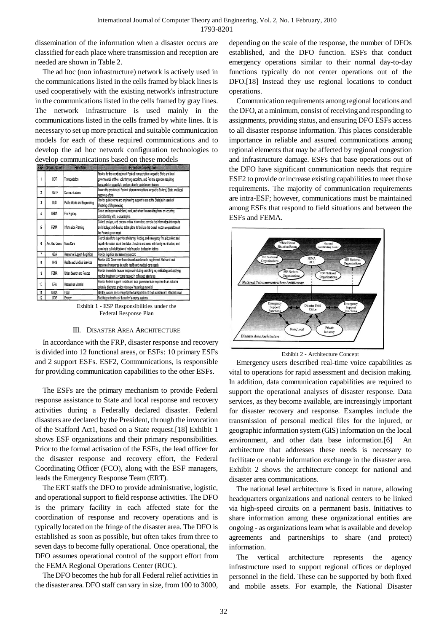dissemination of the information when a disaster occurs are classified for each place where transmission and reception are needed are shown in Table 2.

The ad hoc (non infrastructure) network is actively used in the communications listed in the cells framed by black lines is used cooperatively with the existing network's infrastructure in the communications listed in the cells framed by gray lines. The network infrastructure is used mainly in the communications listed in the cells framed by white lines. It is necessary to set up more practical and suitable communication models for each of these required communications and to develop the ad hoc network configuration technologies to develop communications based on these models

|                | <b>ESF</b> Organization | <b>Function</b>              | <b>Function Description</b>                                                                                                                                                                                                                                |
|----------------|-------------------------|------------------------------|------------------------------------------------------------------------------------------------------------------------------------------------------------------------------------------------------------------------------------------------------------|
|                | DOT                     | Transportation               | Provide for the coordination of Federal transportation support to State and local<br>governmental entities, voluntary organizations, and Federal agencies requiring<br>transportation capacity to perform disaster assistance missions                     |
| 2              | <b>OSTP</b>             | Communications               | Assure the provision of Federal telecommunications support to Federal, State, and local<br>response efforts                                                                                                                                                |
| $\overline{3}$ | DoD                     | Public Works and Engineering | Provide public works and engineering support to assist the State(s) in needs of<br>lifesaving of life protecting                                                                                                                                           |
| 4              | <b>USDA</b>             | Fire Fighting                | Detect and suppress wildland, rural, and urban fires resulting from, or occurring<br>coincidentally with, a catastrophic                                                                                                                                   |
| 5              | FEMA                    | Information Planning         | Collect, analyze, and process critical information; compile the information into reports<br>and displays; and develop action plans to facilitate the overall response operations of<br>the Federal government                                              |
| 6              | Am. Red Cross           | Mass Care                    | Coordinate efforts to provide sheltering, feeding, and emergency first aid; collect and<br>report information about the status of victims and assist with family reunification: and<br>coordinate bulk distribution of relief supplies to disaster victims |
| 7              | GSA                     | Resource Support (Logistics) | Provide logistical and resource support                                                                                                                                                                                                                    |
| 8              | <b>HHS</b>              | Health and Medical Services  | Provide U.S. Government coordinated assistance to supplement State and local<br>resources in response to public health and medical care needs                                                                                                              |
| ŷ              | FEMA                    | Urban Search and Rescue      | Provide immediate disaster response including searching for, extricating and applying<br>medical treatment to victims trapped in collapsed structures                                                                                                      |
| 10             | EPA                     | Hazardous Material           | Provide Federal support to state and local governments in response to an actual or<br>potential discharge and/or release of hazardous material                                                                                                             |
| 11             | <b>USDA</b>             | Food                         | Identify, secure, and arrange for the transportation of food assistance to affected areas                                                                                                                                                                  |
| 12             | DOE                     | Energy                       | Facilitate restoration of the nation's energy systems                                                                                                                                                                                                      |

Exhibit 1 - ESP Responsibilities under the Federal Response Plan

### III. DISASTER AREA ARCHITECTURE

In accordance with the FRP, disaster response and recovery is divided into 12 functional areas, or ESFs: 10 primary ESFs and 2 support ESFs. ESF2, Communications, is responsible for providing communication capabilities to the other ESFs.

The ESFs are the primary mechanism to provide Federal response assistance to State and local response and recovery activities during a Federally declared disaster. Federal disasters are declared by the President, through the invocation of the Stafford Act1, based on a State request.[18] Exhibit 1 shows ESF organizations and their primary responsibilities. Prior to the formal activation of the ESFs, the lead officer for the disaster response and recovery effort, the Federal Coordinating Officer (FCO), along with the ESF managers, leads the Emergency Response Team (ERT).

The ERT staffs the DFO to provide administrative, logistic, and operational support to field response activities. The DFO is the primary facility in each affected state for the coordination of response and recovery operations and is typically located on the fringe of the disaster area. The DFO is established as soon as possible, but often takes from three to seven days to become fully operational. Once operational, the DFO assumes operational control of the support effort from the FEMA Regional Operations Center (ROC).

The DFO becomes the hub for all Federal relief activities in the disaster area. DFO staff can vary in size, from 100 to 3000, depending on the scale of the response, the number of DFOs established, and the DFO function. ESFs that conduct emergency operations similar to their normal day-to-day functions typically do not center operations out of the DFO.[18] Instead they use regional locations to conduct operations.

Communication requirements among regional locations and the DFO, at a minimum, consist of receiving and responding to assignments, providing status, and ensuring DFO ESFs access to all disaster response information. This places considerable importance in reliable and assured communications among regional elements that may be affected by regional congestion and infrastructure damage. ESFs that base operations out of the DFO have significant communication needs that require ESF2 to provide or increase existing capabilities to meet those requirements. The majority of communication requirements are intra-ESF; however, communications must be maintained among ESFs that respond to field situations and between the ESFs and FEMA.



Exhibit 2 - Architecture Concept

Emergency users described real-time voice capabilities as vital to operations for rapid assessment and decision making. In addition, data communication capabilities are required to support the operational analyses of disaster response. Data services, as they become available, are increasingly important for disaster recovery and response. Examples include the transmission of personal medical files for the injured, or geographic information system (GIS) information on the local environment, and other data base information.[6] An architecture that addresses these needs is necessary to facilitate or enable information exchange in the disaster area. Exhibit 2 shows the architecture concept for national and disaster area communications.

The national level architecture is fixed in nature, allowing headquarters organizations and national centers to be linked via high-speed circuits on a permanent basis. Initiatives to share information among these organizational entities are ongoing - as organizations learn what is available and develop agreements and partnerships to share (and protect) information.

The vertical architecture represents the agency infrastructure used to support regional offices or deployed personnel in the field. These can be supported by both fixed and mobile assets. For example, the National Disaster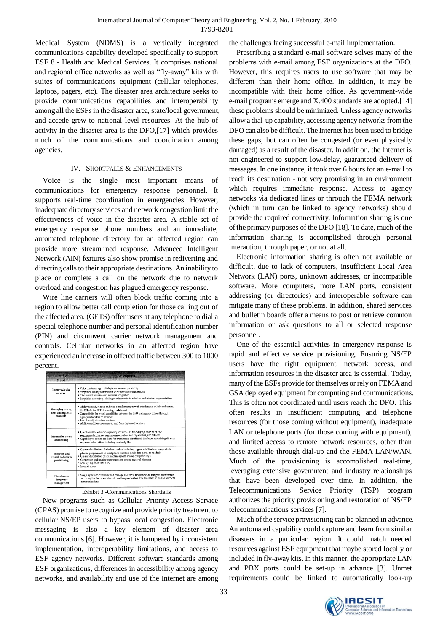Medical System (NDMS) is a vertically integrated communications capability developed specifically to support ESF 8 - Health and Medical Services. It comprises national and regional office networks as well as "fly-away" kits with suites of communications equipment (cellular telephones, laptops, pagers, etc). The disaster area architecture seeks to provide communications capabilities and interoperability among all the ESFs in the disaster area, state/local government, and accede grew to national level resources. At the hub of activity in the disaster area is the DFO,[17] which provides much of the communications and coordination among agencies.

## IV. SHORTFALLS & ENHANCEMENTS

Voice is the single most important means of communications for emergency response personnel. It supports real-time coordination in emergencies. However, inadequate directory services and network congestion limit the effectiveness of voice in the disaster area. A stable set of emergency response phone numbers and an immediate, automated telephone directory for an affected region can provide more streamlined response. Advanced Intelligent Network (AIN) features also show promise in rediverting and directing calls to their appropriate destinations. An inability to place or complete a call on the network due to network overload and congestion has plagued emergency response.

Wire line carriers will often block traffic coming into a region to allow better call completion for those calling out of the affected area. (GETS) offer users at any telephone to dial a special telephone number and personal identification number (PIN) and circumvent carrier network management and controls. Cellular networks in an affected region have experienced an increase in offered traffic between 300 to 1000 percent.

| <b>Identified</b><br>Need                               | Description                                                                                                                                                                                                                                                                                                                                                        |
|---------------------------------------------------------|--------------------------------------------------------------------------------------------------------------------------------------------------------------------------------------------------------------------------------------------------------------------------------------------------------------------------------------------------------------------|
| <b>Improved</b> voice<br>services                       | · Voice conferencing and telephone number portability<br>· Simplified dialing schemes for wireline voice enhancements<br>· Circumvent wireline and wireless congestion<br>· Simplified access (e.g., dialing requirements) to wireline and wireless augmentations                                                                                                  |
| Messaging among<br><b>ESFs</b> and regional<br>elements | · Ability to send, receive and read e-mail messages with attachments within and among<br>the ESFs in the DFO, including via Internet<br>• Connectivity for e-mail capabilities between the DFO and agency offices through<br>agency networks and Internet<br>· User friendly directory services<br>• Ability to address messages to and from deployed locations    |
| Information access<br>and sharing                       | · User friendly electronic capability for intra-DFO messaging, sharing of ESF<br>requirements, disaster response information and capabilities, and SitReps<br>· Capability to access, read and/or manipulate distributed databases containing disaster<br>response information, including read only files                                                          |
| Improved and<br>streamlined service<br>provisioning     | · Greater distribution of wireless devices including pagers, satellite terminals, cellular<br>phones programmed to local phone numbers (with data ports, as needed)<br>· Greater distribution of fax machines (with analog compatibility )<br>· Connection and routing augmentations among regional elements<br>· Dial-up capabilities to DFO<br>· Internet access |
| Disaster area<br>frequency<br>management                | · Single system to distribute and manage ESF radio frequencies to mitigate interference,<br>including the documentation of used frequencies to allow for easier inter-ESF wireless<br>communications                                                                                                                                                               |

Exhibit 3 -Communications Shortfalls

New programs such as Cellular Priority Access Service (CPAS) promise to recognize and provide priority treatment to cellular NS/EP users to bypass local congestion. Electronic messaging is also a key element of disaster area communications [6]. However, it is hampered by inconsistent implementation, interoperability limitations, and access to ESF agency networks. Different software standards among ESF organizations, differences in accessibility among agency networks, and availability and use of the Internet are among the challenges facing successful e-mail implementation.

Prescribing a standard e-mail software solves many of the problems with e-mail among ESF organizations at the DFO. However, this requires users to use software that may be different than their home office. In addition, it may be incompatible with their home office. As government-wide e-mail programs emerge and X.400 standards are adopted,[14] these problems should be minimized. Unless agency networks allow a dial-up capability, accessing agency networks from the DFO can also be difficult. The Internet has been used to bridge these gaps, but can often be congested (or even physically damaged) as a result of the disaster. In addition, the Internet is not engineered to support low-delay, guaranteed delivery of messages. In one instance, it took over 6 hours for an e-mail to reach its destination - not very promising in an environment which requires immediate response. Access to agency networks via dedicated lines or through the FEMA network (which in turn can be linked to agency networks) should provide the required connectivity. Information sharing is one of the primary purposes of the DFO [18]. To date, much of the information sharing is accomplished through personal interaction, through paper, or not at all.

Electronic information sharing is often not available or difficult, due to lack of computers, insufficient Local Area Network (LAN) ports, unknown addresses, or incompatible software. More computers, more LAN ports, consistent addressing (or directories) and interoperable software can mitigate many of these problems. In addition, shared services and bulletin boards offer a means to post or retrieve common information or ask questions to all or selected response personnel.

One of the essential activities in emergency response is rapid and effective service provisioning. Ensuring NS/EP users have the right equipment, network access, and information resources in the disaster area is essential. Today, many of the ESFs provide for themselves or rely on FEMA and GSA deployed equipment for computing and communications. This is often not coordinated until users reach the DFO. This often results in insufficient computing and telephone resources (for those coming without equipment), inadequate LAN or telephone ports (for those coming with equipment), and limited access to remote network resources, other than those available through dial-up and the FEMA LAN/WAN. Much of the provisioning is accomplished real-time, leveraging extensive government and industry relationships that have been developed over time. In addition, the Telecommunications Service Priority (TSP) program authorizes the priority provisioning and restoration of NS/EP telecommunications services [7].

Much of the service provisioning can be planned in advance. An automated capability could capture and learn from similar disasters in a particular region. It could match needed resources against ESF equipment that maybe stored locally or included in fly-away kits. In this manner, the appropriate LAN and PBX ports could be set-up in advance [3]. Unmet requirements could be linked to automatically look-up